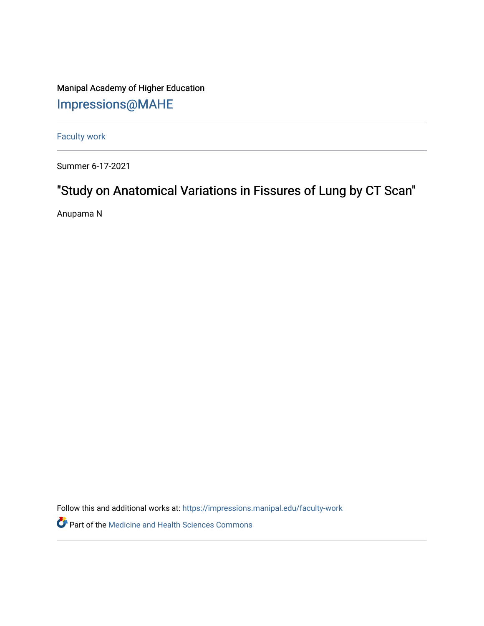Manipal Academy of Higher Education [Impressions@MAHE](https://impressions.manipal.edu/)

[Faculty work](https://impressions.manipal.edu/faculty-work) 

Summer 6-17-2021

## "Study on Anatomical Variations in Fissures of Lung by CT Scan"

Anupama N

Follow this and additional works at: [https://impressions.manipal.edu/faculty-work](https://impressions.manipal.edu/faculty-work?utm_source=impressions.manipal.edu%2Ffaculty-work%2F109&utm_medium=PDF&utm_campaign=PDFCoverPages) 

Part of the [Medicine and Health Sciences Commons](http://network.bepress.com/hgg/discipline/648?utm_source=impressions.manipal.edu%2Ffaculty-work%2F109&utm_medium=PDF&utm_campaign=PDFCoverPages)